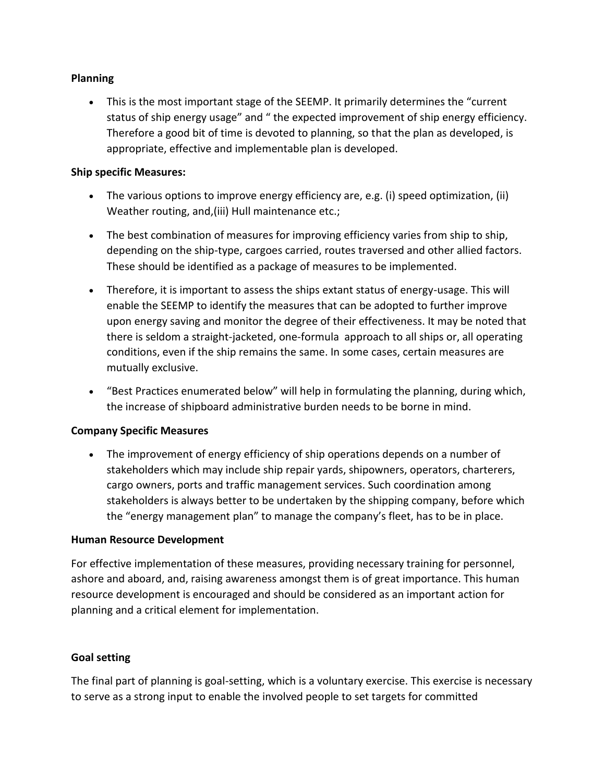## **Planning**

• This is the most important stage of the SEEMP. It primarily determines the "current status of ship energy usage" and " the expected improvement of ship energy efficiency. Therefore a good bit of time is devoted to planning, so that the plan as developed, is appropriate, effective and implementable plan is developed.

### **Ship specific Measures:**

- The various options to improve energy efficiency are, e.g. (i) speed optimization, (ii) Weather routing, and,(iii) Hull maintenance etc.;
- The best combination of measures for improving efficiency varies from ship to ship, depending on the ship-type, cargoes carried, routes traversed and other allied factors. These should be identified as a package of measures to be implemented.
- Therefore, it is important to assess the ships extant status of energy-usage. This will enable the SEEMP to identify the measures that can be adopted to further improve upon energy saving and monitor the degree of their effectiveness. It may be noted that there is seldom a straight-jacketed, one-formula approach to all ships or, all operating conditions, even if the ship remains the same. In some cases, certain measures are mutually exclusive.
- "Best Practices enumerated below" will help in formulating the planning, during which, the increase of shipboard administrative burden needs to be borne in mind.

### **Company Specific Measures**

• The improvement of energy efficiency of ship operations depends on a number of stakeholders which may include ship repair yards, shipowners, operators, charterers, cargo owners, ports and traffic management services. Such coordination among stakeholders is always better to be undertaken by the shipping company, before which the "energy management plan" to manage the company's fleet, has to be in place.

# **Human Resource Development**

For effective implementation of these measures, providing necessary training for personnel, ashore and aboard, and, raising awareness amongst them is of great importance. This human resource development is encouraged and should be considered as an important action for planning and a critical element for implementation.

# **Goal setting**

The final part of planning is goal-setting, which is a voluntary exercise. This exercise is necessary to serve as a strong input to enable the involved people to set targets for committed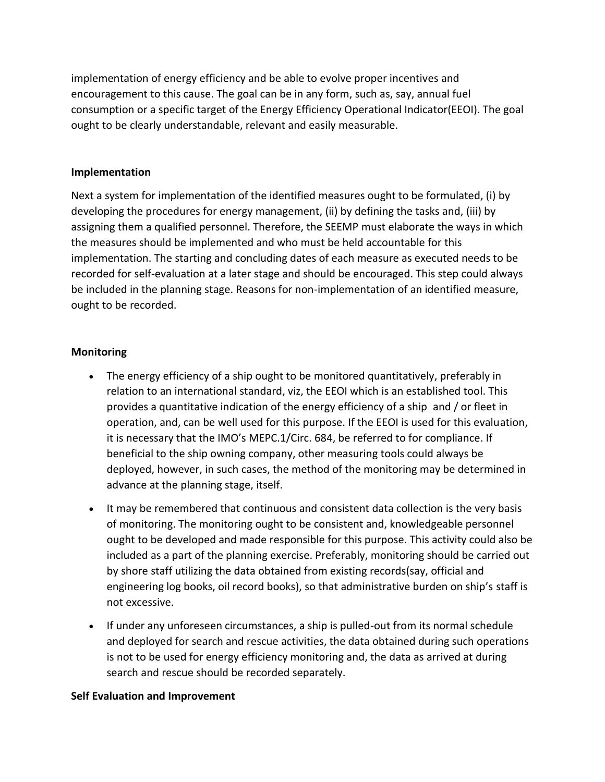implementation of energy efficiency and be able to evolve proper incentives and encouragement to this cause. The goal can be in any form, such as, say, annual fuel consumption or a specific target of the Energy Efficiency Operational Indicator(EEOI). The goal ought to be clearly understandable, relevant and easily measurable.

## **Implementation**

Next a system for implementation of the identified measures ought to be formulated, (i) by developing the procedures for energy management, (ii) by defining the tasks and, (iii) by assigning them a qualified personnel. Therefore, the SEEMP must elaborate the ways in which the measures should be implemented and who must be held accountable for this implementation. The starting and concluding dates of each measure as executed needs to be recorded for self-evaluation at a later stage and should be encouraged. This step could always be included in the planning stage. Reasons for non-implementation of an identified measure, ought to be recorded.

## **Monitoring**

- The energy efficiency of a ship ought to be monitored quantitatively, preferably in relation to an international standard, viz, the EEOI which is an established tool. This provides a quantitative indication of the energy efficiency of a ship and / or fleet in operation, and, can be well used for this purpose. If the EEOI is used for this evaluation, it is necessary that the IMO's MEPC.1/Circ. 684, be referred to for compliance. If beneficial to the ship owning company, other measuring tools could always be deployed, however, in such cases, the method of the monitoring may be determined in advance at the planning stage, itself.
- It may be remembered that continuous and consistent data collection is the very basis of monitoring. The monitoring ought to be consistent and, knowledgeable personnel ought to be developed and made responsible for this purpose. This activity could also be included as a part of the planning exercise. Preferably, monitoring should be carried out by shore staff utilizing the data obtained from existing records(say, official and engineering log books, oil record books), so that administrative burden on ship's staff is not excessive.
- If under any unforeseen circumstances, a ship is pulled-out from its normal schedule and deployed for search and rescue activities, the data obtained during such operations is not to be used for energy efficiency monitoring and, the data as arrived at during search and rescue should be recorded separately.

### **Self Evaluation and Improvement**